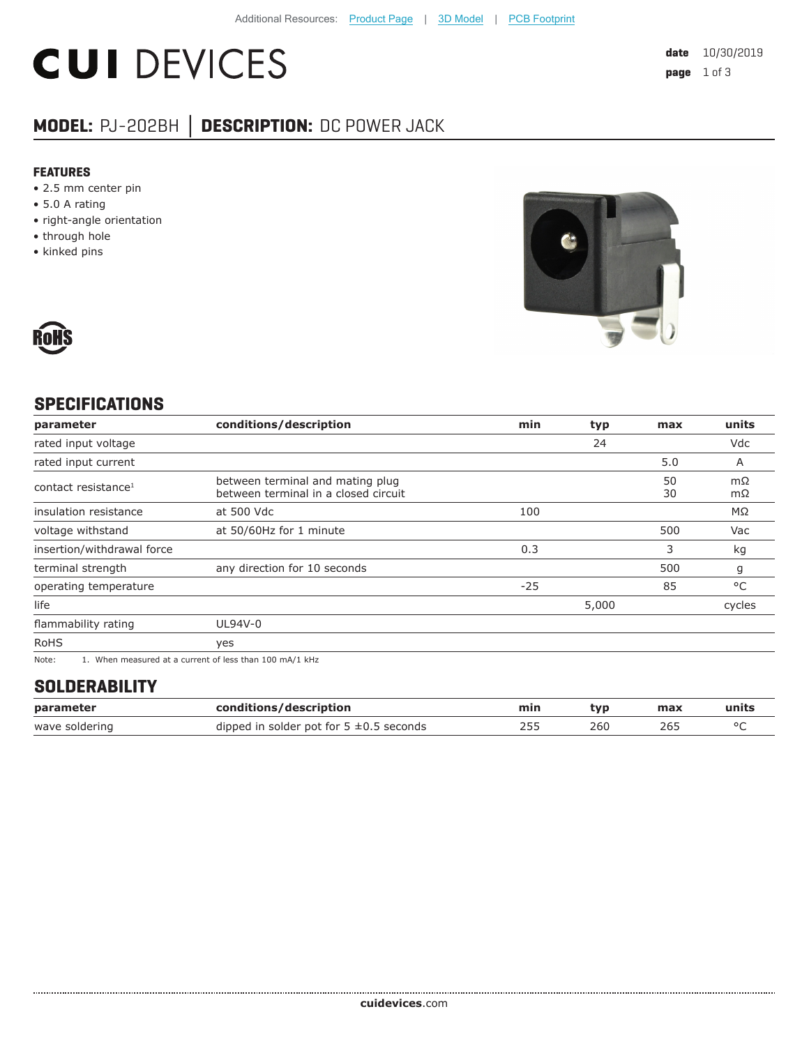# **CUI DEVICES**

### **MODEL:** PJ-202BH **│ DESCRIPTION:** DC POWER JACK

#### **FEATURES**

- 2.5 mm center pin
- 5.0 A rating
- right-angle orientation
- through hole
- kinked pins





#### **SPECIFICATIONS**

| parameter                       | conditions/description                                                   | min   | typ   | max      | units    |
|---------------------------------|--------------------------------------------------------------------------|-------|-------|----------|----------|
| rated input voltage             |                                                                          |       | 24    |          | Vdc      |
| rated input current             |                                                                          |       |       | 5.0      | A        |
| contact resistance <sup>1</sup> | between terminal and mating plug<br>between terminal in a closed circuit |       |       | 50<br>30 | mΩ<br>mΩ |
| insulation resistance           | at 500 Vdc                                                               | 100   |       |          | ΜΩ       |
| voltage withstand               | at 50/60Hz for 1 minute                                                  |       |       | 500      | Vac      |
| insertion/withdrawal force      |                                                                          | 0.3   |       | 3        | kg       |
| terminal strength               | any direction for 10 seconds                                             |       |       | 500      | g        |
| operating temperature           |                                                                          | $-25$ |       | 85       | °C       |
| life                            |                                                                          |       | 5,000 |          | cycles   |
| flammability rating             | UL94V-0                                                                  |       |       |          |          |
| <b>RoHS</b>                     | yes                                                                      |       |       |          |          |
| $\mathbf{A}$                    |                                                                          |       |       |          |          |

Note: 1. When measured at a current of less than 100 mA/1 kHz

#### **SOLDERABILITY**

| parameter      | conditions/description                       | min | tvp | max | units |
|----------------|----------------------------------------------|-----|-----|-----|-------|
| wave soldering | dipped in solder pot for $5 \pm 0.5$ seconds |     | 260 | 265 |       |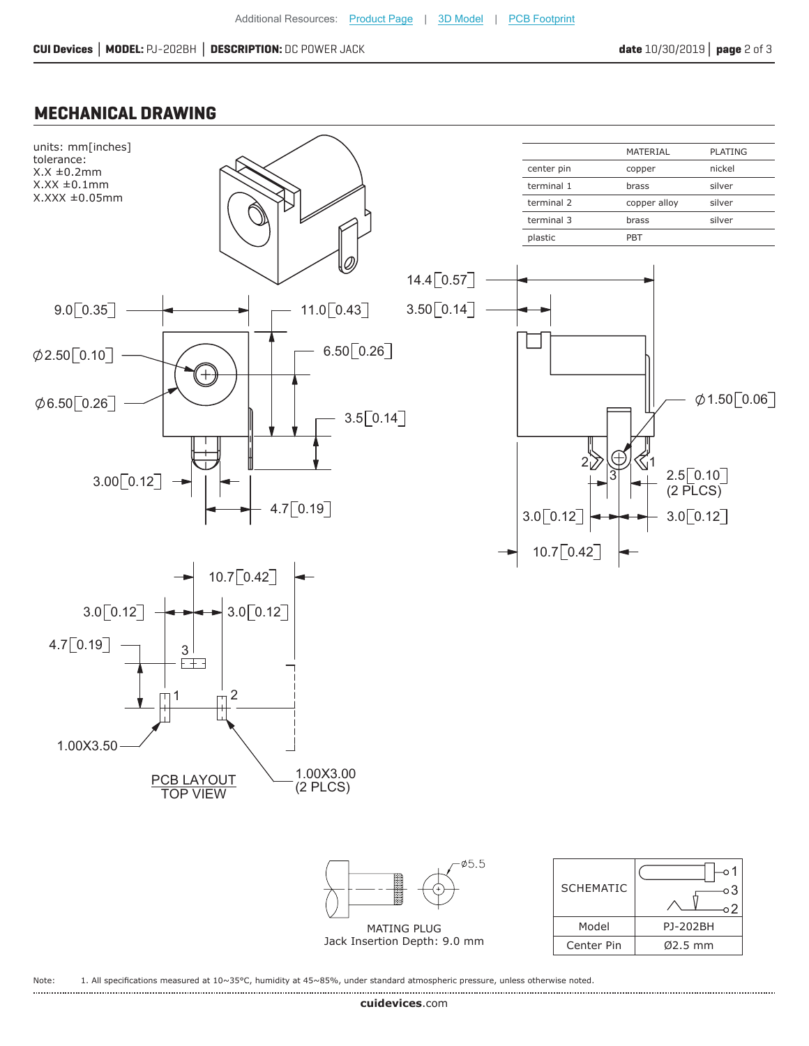$\circ$  2

Model PJ-202BH Center Pin Ø2.5 mm

#### **MECHANICAL DRAWING**



MATING PLUG Jack Insertion Depth: 9.0 mm

Note: 1. All specifications measured at 10~35°C, humidity at 45~85%, under standard atmospheric pressure, unless otherwise noted.